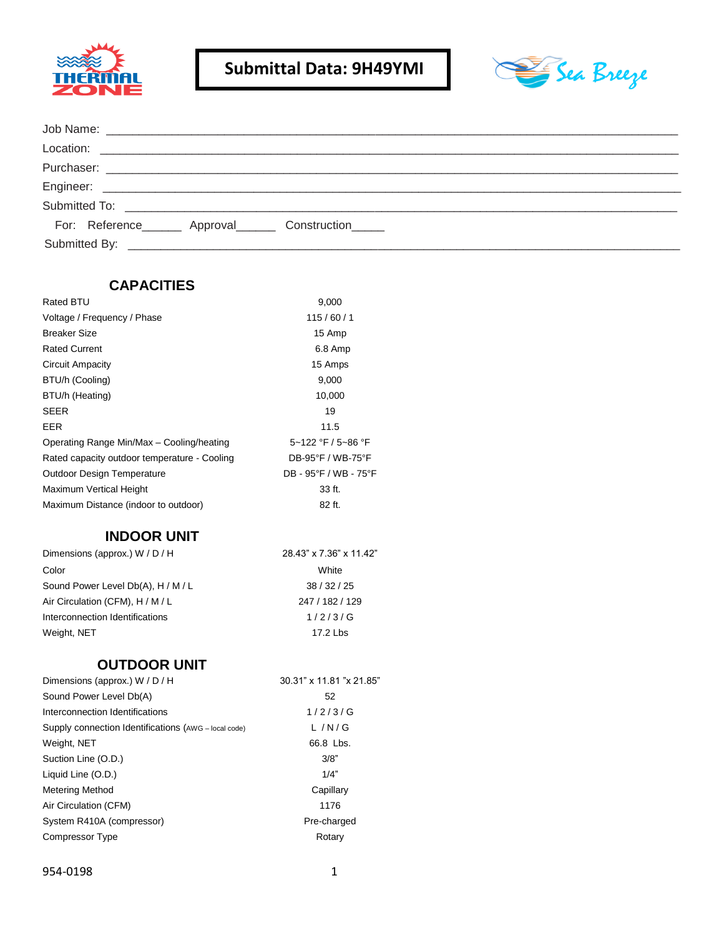



| For: Reference________ Approval________ Construction______ |  |
|------------------------------------------------------------|--|
|                                                            |  |

#### **CAPACITIES**

| 9,000                 |
|-----------------------|
| 115/60/1              |
| 15 Amp                |
| 6.8 Amp               |
| 15 Amps               |
| 9,000                 |
| 10,000                |
| 19                    |
| 11.5                  |
| 5~122 °F / 5~86 °F    |
| DB-95°F / WB-75°F     |
| DB - 95°F / WB - 75°F |
| 33 ft.                |
| 82 ft.                |
|                       |

# **INDOOR UNIT**

| Dimensions (approx.) W / D / H     | 28.43" x 7.36" x 11.42" |  |
|------------------------------------|-------------------------|--|
| Color                              | White                   |  |
| Sound Power Level Db(A), H / M / L | 38/32/25                |  |
| Air Circulation (CFM), H / M / L   | 247 / 182 / 129         |  |
| Interconnection Identifications    | 1/2/3/G                 |  |
| Weight, NET                        | 17.2 Lbs                |  |

# **OUTDOOR UNIT**

| Dimensions (approx.) W / D / H                       | 30.31" x 11.81 "x 21.85" |
|------------------------------------------------------|--------------------------|
| Sound Power Level Db(A)                              | 52                       |
| Interconnection Identifications                      | 1/2/3/G                  |
| Supply connection Identifications (AWG - local code) | L/N/G                    |
| Weight, NET                                          | 66.8 Lbs.                |
| Suction Line (O.D.)                                  | 3/8"                     |
| Liquid Line (O.D.)                                   | 1/4"                     |
| <b>Metering Method</b>                               | Capillary                |
| Air Circulation (CFM)                                | 1176                     |
| System R410A (compressor)                            | Pre-charged              |
| Compressor Type                                      | Rotary                   |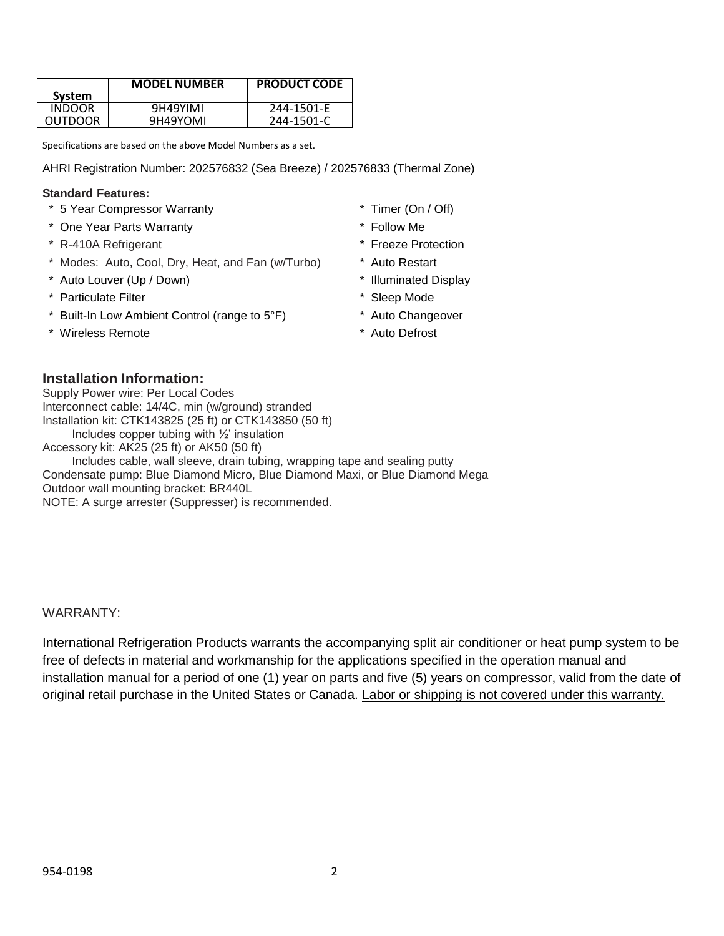|                | <b>MODEL NUMBER</b> | <b>PRODUCT CODE</b> |
|----------------|---------------------|---------------------|
| System         |                     |                     |
| INDOOR         | 9H49YIMI            | 244-1501-E          |
| <b>OUTDOOR</b> | 9H49YOMI            | 244-1501-C          |
|                |                     |                     |

Specifications are based on the above Model Numbers as a set.

AHRI Registration Number: 202576832 (Sea Breeze) / 202576833 (Thermal Zone)

#### **Standard Features:**

- \* 5 Year Compressor Warranty \* Timer (On / Off)
- \* One Year Parts Warranty \* Follow Me
- \* R-410A Refrigerant \* Freeze Protection
- \* Modes: Auto, Cool, Dry, Heat, and Fan (w/Turbo) \* Auto Restart
- \* Auto Louver (Up / Down) \* Illuminated Display
- \* Particulate Filter \* Sleep Mode
- \* Built-In Low Ambient Control (range to 5°F) \* Auto Changeover
- \* Wireless Remote \* \* Auto Defrost
- 
- 
- 
- 
- 
- 
- 
- 

#### **Installation Information:**

Supply Power wire: Per Local Codes Interconnect cable: 14/4C, min (w/ground) stranded Installation kit: CTK143825 (25 ft) or CTK143850 (50 ft) Includes copper tubing with ½' insulation Accessory kit: AK25 (25 ft) or AK50 (50 ft) Includes cable, wall sleeve, drain tubing, wrapping tape and sealing putty Condensate pump: Blue Diamond Micro, Blue Diamond Maxi, or Blue Diamond Mega

Outdoor wall mounting bracket: BR440L

NOTE: A surge arrester (Suppresser) is recommended.

#### WARRANTY:

International Refrigeration Products warrants the accompanying split air conditioner or heat pump system to be free of defects in material and workmanship for the applications specified in the operation manual and installation manual for a period of one (1) year on parts and five (5) years on compressor, valid from the date of original retail purchase in the United States or Canada. Labor or shipping is not covered under this warranty.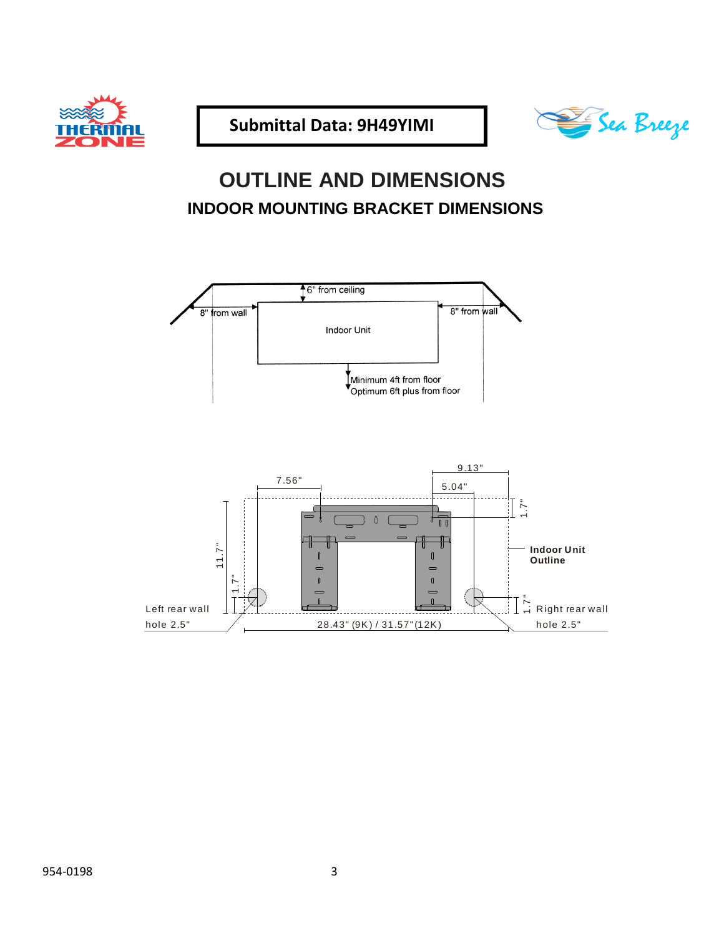



# **OUTLINE AND DIMENSIONS INDOOR MOUNTING BRACKET DIMENSIONS**